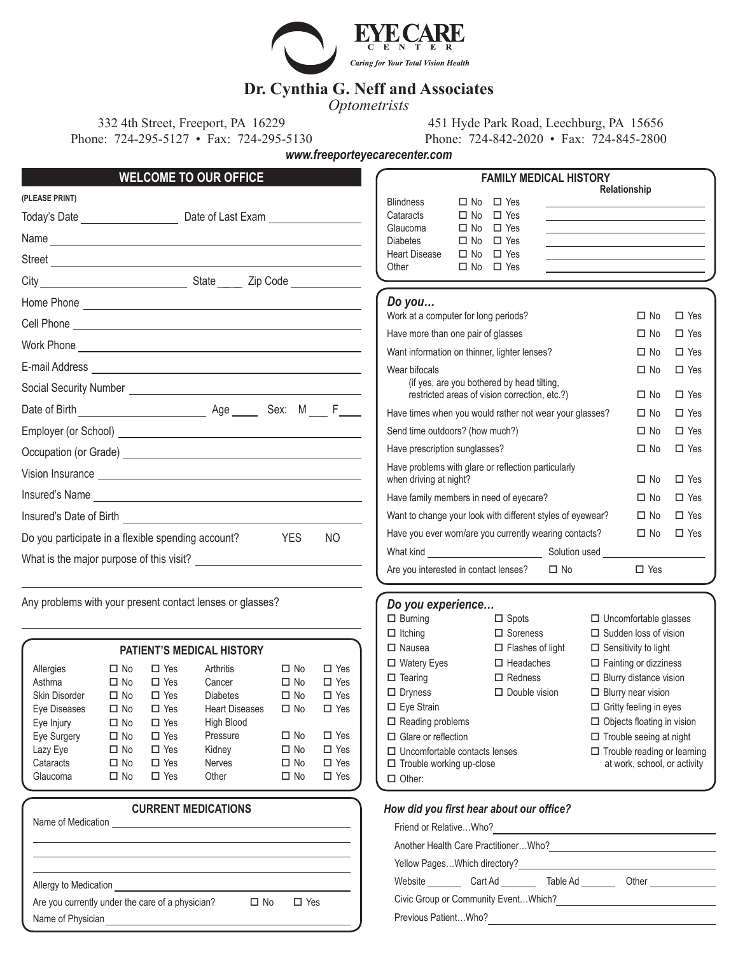

# **Dr. Cynthia G. Neff and Associates**

*Optometrists*

332 4th Street, Freeport, PA 16229 451 Hyde Park Road, Leechburg, PA 15656 Phone: 724-295-5127 • Fax: 724-295-5130 Phone: 724-842-2020 • Fax: 724-845-2800

*www.freeporteyecarecenter.com*

| <b>WELCOME TO OUR OFFICE</b>                                                                                                                                                                                                        | <b>FAMILY MEDICAL HISTORY</b>                                                                                                                                                                             |                                                                                                                                                                                                                     |
|-------------------------------------------------------------------------------------------------------------------------------------------------------------------------------------------------------------------------------------|-----------------------------------------------------------------------------------------------------------------------------------------------------------------------------------------------------------|---------------------------------------------------------------------------------------------------------------------------------------------------------------------------------------------------------------------|
| (PLEASE PRINT)<br>Today's Date <u>Constantine Constantine Date</u> of Last Exam                                                                                                                                                     | $\Box$ Yes<br><b>Blindness</b><br>$\Box$ No<br>$\Box$ Yes<br>Cataracts<br>$\Box$ No                                                                                                                       | Relationship<br>the control of the control of the control of the control of the control of                                                                                                                          |
| Name experience and the second contract of the second contract of the second contract of the second contract of the second contract of the second contract of the second contract of the second contract of the second contrac      | $\Box$ Yes<br>Glaucoma<br>$\Box$ No<br>$\Box$ Yes<br><b>Diabetes</b><br>$\square$ No                                                                                                                      | the control of the control of the control of the control of the control of the control of<br><u> 1989 - Johann Barn, mars ann an t-Amhain ann an t-Amhain an t-Amhain an t-Amhain an t-Amhain an t-Amhain an t-</u> |
|                                                                                                                                                                                                                                     | $\Box$ Yes<br><b>Heart Disease</b><br>$\Box$ No<br><u> 1986 - Johann Harry Barn, mars and de Branch and de Branch and de Branch and de Branch and de Branch and de B</u><br>$\Box$ No $\Box$ Yes<br>Other |                                                                                                                                                                                                                     |
|                                                                                                                                                                                                                                     |                                                                                                                                                                                                           |                                                                                                                                                                                                                     |
|                                                                                                                                                                                                                                     | Do you                                                                                                                                                                                                    |                                                                                                                                                                                                                     |
|                                                                                                                                                                                                                                     | Work at a computer for long periods?                                                                                                                                                                      | $\Box$ Yes<br>$\Box$ No                                                                                                                                                                                             |
|                                                                                                                                                                                                                                     | Have more than one pair of glasses                                                                                                                                                                        | $\Box$ Yes<br>$\Box$ No                                                                                                                                                                                             |
|                                                                                                                                                                                                                                     | Want information on thinner, lighter lenses?                                                                                                                                                              | $\Box$ Yes<br>$\square$ No                                                                                                                                                                                          |
|                                                                                                                                                                                                                                     | Wear bifocals                                                                                                                                                                                             | $\Box$ Yes<br>$\Box$ No                                                                                                                                                                                             |
|                                                                                                                                                                                                                                     | (if yes, are you bothered by head tilting,<br>restricted areas of vision correction, etc.?)                                                                                                               | $\Box$ Yes<br>$\Box$ No                                                                                                                                                                                             |
|                                                                                                                                                                                                                                     | Have times when you would rather not wear your glasses?                                                                                                                                                   | $\Box$ Yes<br>$\Box$ No                                                                                                                                                                                             |
|                                                                                                                                                                                                                                     | Send time outdoors? (how much?)                                                                                                                                                                           | $\Box$ Yes<br>$\Box$ No                                                                                                                                                                                             |
|                                                                                                                                                                                                                                     | Have prescription sunglasses?                                                                                                                                                                             | $\Box$ Yes<br>$\Box$ No                                                                                                                                                                                             |
| Vision Insurance <u>experience</u> and the second service of the service of the service of the service of the service of the service of the service of the service of the service of the service of the service of the service of t | Have problems with glare or reflection particularly<br>when driving at night?                                                                                                                             | $\Box$ Yes<br>$\Box$ No                                                                                                                                                                                             |
|                                                                                                                                                                                                                                     | Have family members in need of eyecare?                                                                                                                                                                   | $\Box$ No<br>$\Box$ Yes                                                                                                                                                                                             |
| Insured's Date of Birth <b>Constantine Constantine Constantine Constantine Constantine Constantine Constantine Co</b>                                                                                                               | Want to change your look with different styles of eyewear?                                                                                                                                                | $\Box$ Yes<br>$\square$ No                                                                                                                                                                                          |
| <b>YES</b><br><b>NO</b><br>Do you participate in a flexible spending account?                                                                                                                                                       | Have you ever worn/are you currently wearing contacts?                                                                                                                                                    | $\Box$ Yes<br>$\Box$ No                                                                                                                                                                                             |
| What is the major purpose of this visit?                                                                                                                                                                                            |                                                                                                                                                                                                           |                                                                                                                                                                                                                     |
|                                                                                                                                                                                                                                     | Are you interested in contact lenses?<br>$\Box$ No                                                                                                                                                        | $\Box$ Yes                                                                                                                                                                                                          |
| Any problems with your present contact lenses or glasses?                                                                                                                                                                           | Do you experience                                                                                                                                                                                         |                                                                                                                                                                                                                     |
|                                                                                                                                                                                                                                     | $\Box$ Burning<br>$\Box$ Spots                                                                                                                                                                            | $\Box$ Uncomfortable glasses                                                                                                                                                                                        |
|                                                                                                                                                                                                                                     | $\Box$ Itching<br>$\Box$ Soreness                                                                                                                                                                         | $\Box$ Sudden loss of vision                                                                                                                                                                                        |

 $\square$  Other:

| <b>PATIENT'S MEDICAL HISTORY</b> |           |            |                       |           |            |
|----------------------------------|-----------|------------|-----------------------|-----------|------------|
| Allergies                        | □ No      | $\Box$ Yes | Arthritis             | $\Box$ No | $\Box$ Yes |
| Asthma                           | $\Box$ No | $\Box$ Yes | Cancer                | $\Box$ No | $\Box$ Yes |
| Skin Disorder                    | $\Box$ No | $\Box$ Yes | <b>Diabetes</b>       | $\Box$ No | $\Box$ Yes |
| Eye Diseases                     | $\Box$ No | $\Box$ Yes | <b>Heart Diseases</b> | $\Box$ No | $\Box$ Yes |
| Eye Injury                       | $\Box$ No | $\Box$ Yes | <b>High Blood</b>     |           |            |
| Eye Surgery                      | $\Box$ No | $\Box$ Yes | Pressure              | $\Box$ No | $\Box$ Yes |
| Lazy Eye                         | $\Box$ No | $\Box$ Yes | Kidney                | $\Box$ No | $\Box$ Yes |
| Cataracts                        | $\Box$ No | $\Box$ Yes | <b>Nerves</b>         | $\Box$ No | $\Box$ Yes |
| Glaucoma                         | $\Box$ No | $\Box$ Yes | Other                 | $\Box$ No | $\Box$ Yes |
|                                  |           |            |                       |           |            |

|                    | <b>CURRENT MEDICATIONS</b>                                                 |      |            |  |
|--------------------|----------------------------------------------------------------------------|------|------------|--|
| Name of Medication | the control of the control of the control of the control of the control of |      |            |  |
|                    |                                                                            |      |            |  |
|                    |                                                                            |      |            |  |
|                    | Allergy to Medication <b>Exercise 2008</b>                                 |      |            |  |
|                    | Are you currently under the care of a physician?                           | □ No | $\Box$ Yes |  |
| Name of Physician  |                                                                            |      |            |  |

| How did you first hear about our office? |         |          |                       |
|------------------------------------------|---------|----------|-----------------------|
| Friend or RelativeWho?                   |         |          |                       |
| Another Health Care PractitionerWho?     |         |          |                       |
| Yellow PagesWhich directory?             |         |          |                       |
| Website                                  | Cart Ad | Table Ad | Other $\qquad \qquad$ |
| Civic Group or Community Event Which?    |         |          |                       |
| Previous Patient Who?                    |         |          |                       |

 $\square$  Nausea  $\square$  Flashes of light  $\square$  Sensitivity to light  $\square$  Watery Eyes  $\square$  Headaches  $\square$  Fainting or dizziness  $\square$  Tearing  $\square$  Redness  $\square$  Blurry distance vision  $\square$  Dryness  $\square$  Double vision  $\square$  Blurry near vision □ Eye Strain **of Gritty feeling in eyes**  $\square$  Reading problems  $\square$  Objects floating in vision  $\square$  Glare or reflection  $\square$  Trouble seeing at night  $\Box$  Uncomfortable contacts lenses  $\Box$  Trouble reading or learning  $\square$  Trouble working up-close at work, school, or activity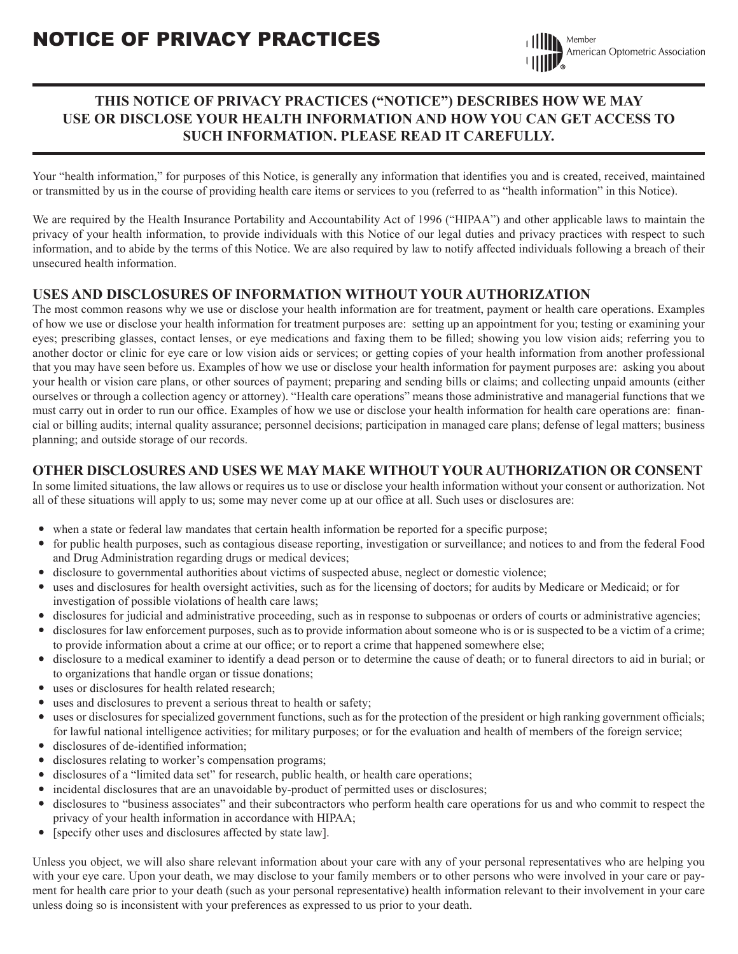## **THIS NOTICE OF PRIVACY PRACTICES ("NOTICE") DESCRIBES HOW WE MAY USE OR DISCLOSE YOUR HEALTH INFORMATION AND HOW YOU CAN GET ACCESS TO SUCH INFORMATION. PLEASE READ IT CAREFULLY.**

Your "health information," for purposes of this Notice, is generally any information that identifies you and is created, received, maintained or transmitted by us in the course of providing health care items or services to you (referred to as "health information" in this Notice).

We are required by the Health Insurance Portability and Accountability Act of 1996 ("HIPAA") and other applicable laws to maintain the privacy of your health information, to provide individuals with this Notice of our legal duties and privacy practices with respect to such information, and to abide by the terms of this Notice. We are also required by law to notify affected individuals following a breach of their unsecured health information.

### **USES AND DISCLOSURES OF INFORMATION WITHOUT YOUR AUTHORIZATION**

The most common reasons why we use or disclose your health information are for treatment, payment or health care operations. Examples of how we use or disclose your health information for treatment purposes are: setting up an appointment for you; testing or examining your eyes; prescribing glasses, contact lenses, or eye medications and faxing them to be filled; showing you low vision aids; referring you to another doctor or clinic for eye care or low vision aids or services; or getting copies of your health information from another professional that you may have seen before us. Examples of how we use or disclose your health information for payment purposes are: asking you about your health or vision care plans, or other sources of payment; preparing and sending bills or claims; and collecting unpaid amounts (either ourselves or through a collection agency or attorney). "Health care operations" means those administrative and managerial functions that we must carry out in order to run our office. Examples of how we use or disclose your health information for health care operations are: financial or billing audits; internal quality assurance; personnel decisions; participation in managed care plans; defense of legal matters; business planning; and outside storage of our records.

### **OTHER DISCLOSURES AND USES WE MAY MAKE WITHOUT YOUR AUTHORIZATION OR CONSENT**

In some limited situations, the law allows or requires us to use or disclose your health information without your consent or authorization. Not all of these situations will apply to us; some may never come up at our office at all. Such uses or disclosures are:

- when a state or federal law mandates that certain health information be reported for a specific purpose;
- for public health purposes, such as contagious disease reporting, investigation or surveillance; and notices to and from the federal Food and Drug Administration regarding drugs or medical devices;
- disclosure to governmental authorities about victims of suspected abuse, neglect or domestic violence;
- uses and disclosures for health oversight activities, such as for the licensing of doctors; for audits by Medicare or Medicaid; or for investigation of possible violations of health care laws;
- disclosures for judicial and administrative proceeding, such as in response to subpoenas or orders of courts or administrative agencies;
- disclosures for law enforcement purposes, such as to provide information about someone who is or is suspected to be a victim of a crime; to provide information about a crime at our office; or to report a crime that happened somewhere else;
- disclosure to a medical examiner to identify a dead person or to determine the cause of death; or to funeral directors to aid in burial; or to organizations that handle organ or tissue donations;
- uses or disclosures for health related research;
- uses and disclosures to prevent a serious threat to health or safety;
- uses or disclosures for specialized government functions, such as for the protection of the president or high ranking government officials; for lawful national intelligence activities; for military purposes; or for the evaluation and health of members of the foreign service;
- disclosures of de-identified information;
- disclosures relating to worker's compensation programs;
- disclosures of a "limited data set" for research, public health, or health care operations;
- incidental disclosures that are an unavoidable by-product of permitted uses or disclosures;
- disclosures to "business associates" and their subcontractors who perform health care operations for us and who commit to respect the privacy of your health information in accordance with HIPAA;
- [specify other uses and disclosures affected by state law].

Unless you object, we will also share relevant information about your care with any of your personal representatives who are helping you with your eye care. Upon your death, we may disclose to your family members or to other persons who were involved in your care or payment for health care prior to your death (such as your personal representative) health information relevant to their involvement in your care unless doing so is inconsistent with your preferences as expressed to us prior to your death.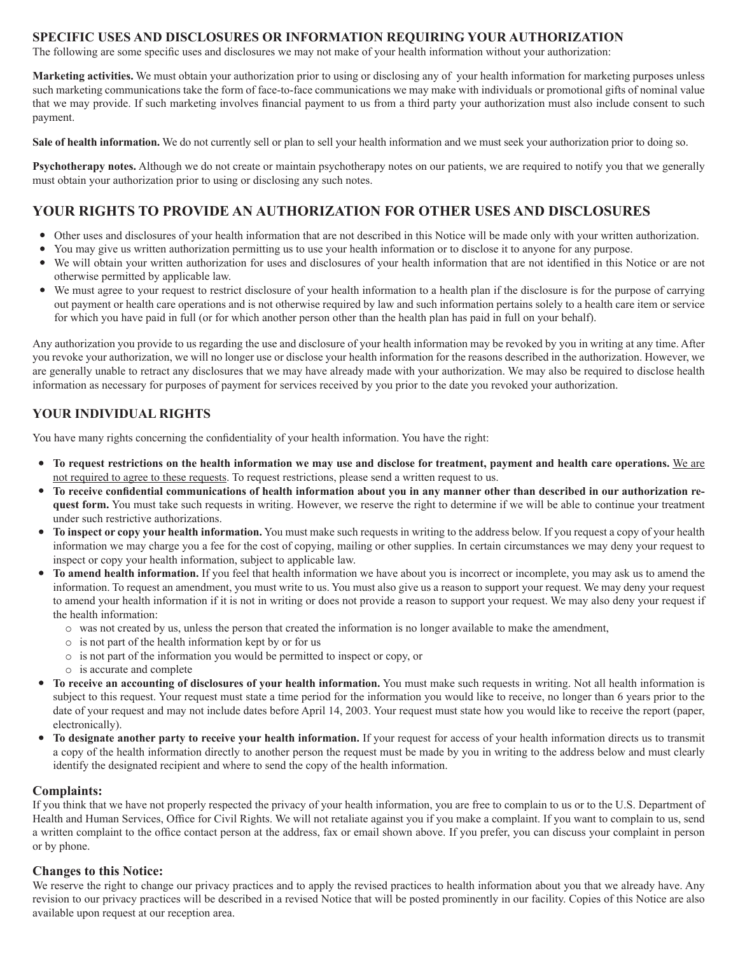#### **SPECIFIC USES AND DISCLOSURES OR INFORMATION REQUIRING YOUR AUTHORIZATION**

The following are some specific uses and disclosures we may not make of your health information without your authorization:

**Marketing activities.** We must obtain your authorization prior to using or disclosing any of your health information for marketing purposes unless such marketing communications take the form of face-to-face communications we may make with individuals or promotional gifts of nominal value that we may provide. If such marketing involves financial payment to us from a third party your authorization must also include consent to such payment.

**Sale of health information.** We do not currently sell or plan to sell your health information and we must seek your authorization prior to doing so.

**Psychotherapy notes.** Although we do not create or maintain psychotherapy notes on our patients, we are required to notify you that we generally must obtain your authorization prior to using or disclosing any such notes.

### **YOUR RIGHTS TO PROVIDE AN AUTHORIZATION FOR OTHER USES AND DISCLOSURES**

- Other uses and disclosures of your health information that are not described in this Notice will be made only with your written authorization.
- You may give us written authorization permitting us to use your health information or to disclose it to anyone for any purpose.
- We will obtain your written authorization for uses and disclosures of your health information that are not identified in this Notice or are not otherwise permitted by applicable law.
- We must agree to your request to restrict disclosure of your health information to a health plan if the disclosure is for the purpose of carrying out payment or health care operations and is not otherwise required by law and such information pertains solely to a health care item or service for which you have paid in full (or for which another person other than the health plan has paid in full on your behalf).

Any authorization you provide to us regarding the use and disclosure of your health information may be revoked by you in writing at any time. After you revoke your authorization, we will no longer use or disclose your health information for the reasons described in the authorization. However, we are generally unable to retract any disclosures that we may have already made with your authorization. We may also be required to disclose health information as necessary for purposes of payment for services received by you prior to the date you revoked your authorization.

### **YOUR INDIVIDUAL RIGHTS**

You have many rights concerning the confidentiality of your health information. You have the right:

- **To request restrictions on the health information we may use and disclose for treatment, payment and health care operations.** We are not required to agree to these requests. To request restrictions, please send a written request to us.
- **•** To receive confidential communications of health information about you in any manner other than described in our authorization re**quest form.** You must take such requests in writing. However, we reserve the right to determine if we will be able to continue your treatment under such restrictive authorizations.
- **To inspect or copy your health information.** You must make such requests in writing to the address below. If you request a copy of your health information we may charge you a fee for the cost of copying, mailing or other supplies. In certain circumstances we may deny your request to inspect or copy your health information, subject to applicable law.
- To amend health information. If you feel that health information we have about you is incorrect or incomplete, you may ask us to amend the information. To request an amendment, you must write to us. You must also give us a reason to support your request. We may deny your request to amend your health information if it is not in writing or does not provide a reason to support your request. We may also deny your request if the health information:
	- o was not created by us, unless the person that created the information is no longer available to make the amendment,
	- o is not part of the health information kept by or for us
	- o is not part of the information you would be permitted to inspect or copy, or
	- o is accurate and complete
- **To receive an accounting of disclosures of your health information.** You must make such requests in writing. Not all health information is subject to this request. Your request must state a time period for the information you would like to receive, no longer than 6 years prior to the date of your request and may not include dates before April 14, 2003. Your request must state how you would like to receive the report (paper, electronically).
- To designate another party to receive your health information. If your request for access of your health information directs us to transmit a copy of the health information directly to another person the request must be made by you in writing to the address below and must clearly identify the designated recipient and where to send the copy of the health information.

#### **Complaints:**

If you think that we have not properly respected the privacy of your health information, you are free to complain to us or to the U.S. Department of Health and Human Services, Office for Civil Rights. We will not retaliate against you if you make a complaint. If you want to complain to us, send a written complaint to the office contact person at the address, fax or email shown above. If you prefer, you can discuss your complaint in person or by phone.

#### **Changes to this Notice:**

We reserve the right to change our privacy practices and to apply the revised practices to health information about you that we already have. Any revision to our privacy practices will be described in a revised Notice that will be posted prominently in our facility. Copies of this Notice are also available upon request at our reception area.